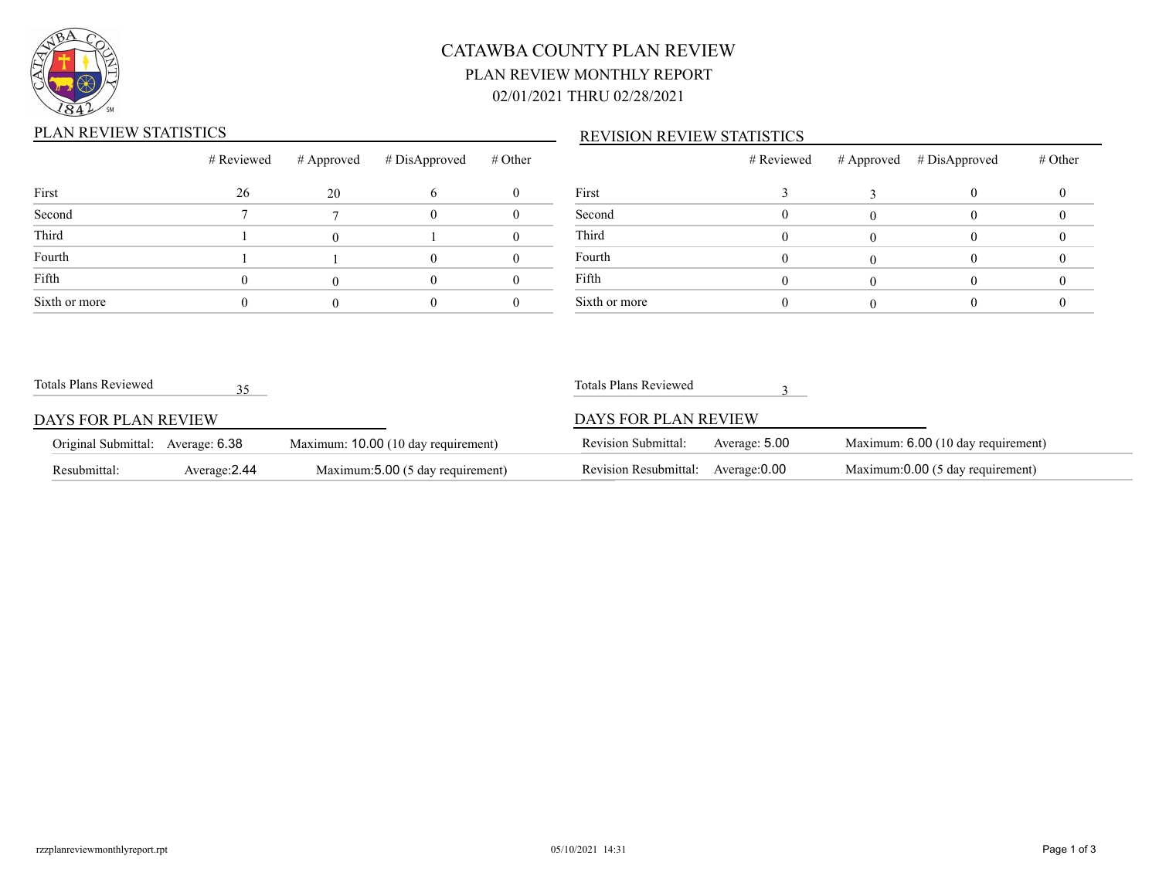

# CATAWBA COUNTY PLAN REVIEW PLAN REVIEW MONTHLY REPORT 02/01/2021 THRU 02/28/2021

## PLAN REVIEW STATISTICS

### REVISION REVIEW STATISTICS

|               | # Reviewed |    | $\#$ Approved $\#$ DisApproved | # Other |               |
|---------------|------------|----|--------------------------------|---------|---------------|
| First         | 26         | 20 |                                |         | First         |
| Second        |            |    |                                |         | Second        |
| Third         |            |    |                                |         | Third         |
| Fourth        |            |    |                                |         | Fourth        |
| Fifth         |            |    |                                |         | Fifth         |
| Sixth or more |            |    |                                |         | Sixth or more |

|               | # Reviewed | # Approved # DisApproved | $#$ Other |
|---------------|------------|--------------------------|-----------|
| First         |            |                          |           |
| Second        |            |                          |           |
| Third         |            |                          |           |
| Fourth        |            |                          |           |
| Fifth         |            |                          |           |
| Sixth or more |            |                          |           |

| Totals Plans Reviewed             |               |                                     | Totals Plans Reviewed |               |                                    |
|-----------------------------------|---------------|-------------------------------------|-----------------------|---------------|------------------------------------|
| DAYS FOR PLAN REVIEW              |               |                                     | DAYS FOR PLAN REVIEW  |               |                                    |
| Original Submittal: Average: 6.38 |               | Maximum: 10.00 (10 day requirement) | Revision Submittal:   | Average: 5.00 | Maximum: 6.00 (10 day requirement) |
| Resubmittal:                      | Average: 2.44 | Maximum: 5.00 (5 day requirement)   | Revision Resubmittal: | Average: 0.00 | Maximum:0.00 (5 day requirement)   |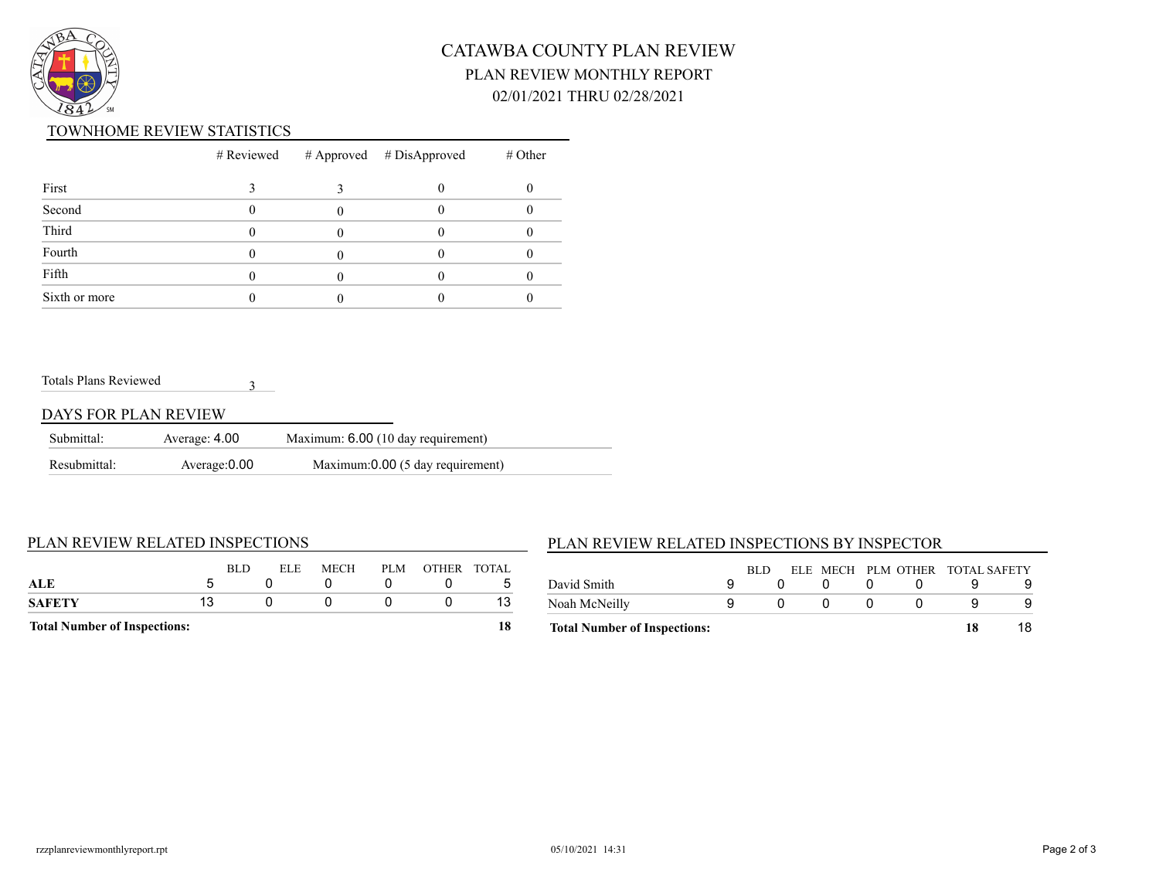

# CATAWBA COUNTY PLAN REVIEW PLAN REVIEW MONTHLY REPORT 02/01/2021 THRU 02/28/2021

#### TOWNHOME REVIEW STATISTICS

|               |  | $#$ Reviewed $#$ Approved $#$ DisApproved | $#$ Other |
|---------------|--|-------------------------------------------|-----------|
| First         |  |                                           |           |
| Second        |  |                                           |           |
| Third         |  |                                           |           |
| Fourth        |  |                                           |           |
| Fifth         |  |                                           |           |
| Sixth or more |  |                                           |           |

#### Totals Plans Reviewed

### DAYS FOR PLAN REVIEW

| Submittal:   | Average: 4.00 | Maximum: 6.00 (10 day requirement) |  |
|--------------|---------------|------------------------------------|--|
| Resubmittal: | Average: 0.00 | Maximum:0.00 (5 day requirement)   |  |

3

#### PLAN REVIEW RELATED INSPECTIONS

### PLAN REVIEW RELATED INSPECTIONS BY INSPECTOR

| <b>Total Number of Inspections:</b> |    |      |      |      |     |             | 18 |
|-------------------------------------|----|------|------|------|-----|-------------|----|
| SAFETY                              | 13 |      |      |      |     |             | 13 |
| ALE                                 | h  | BLD. | ELE. | MECH | PLM | OTHER TOTAL | ∽  |
|                                     |    |      |      |      |     |             |    |

| <b>Total Number of Inspections:</b> |      |  |                                 | 18 |  |
|-------------------------------------|------|--|---------------------------------|----|--|
| Noah McNeilly                       |      |  |                                 |    |  |
| David Smith                         |      |  |                                 |    |  |
|                                     | RLD. |  | ELE MECH PLM OTHER TOTAL SAFETY |    |  |